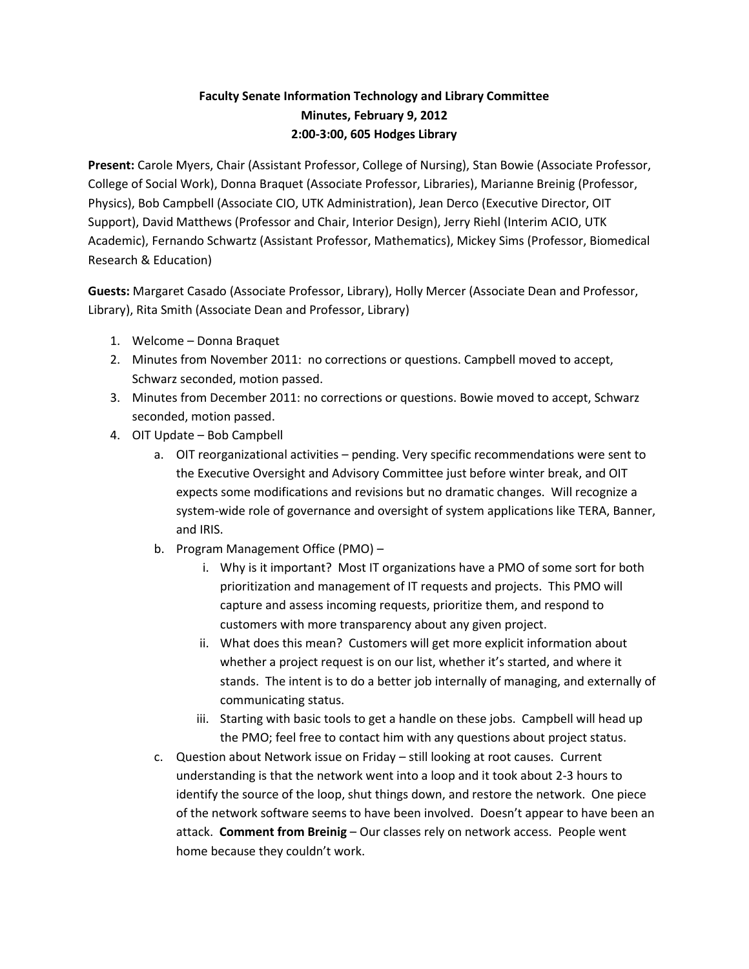## **Faculty Senate Information Technology and Library Committee Minutes, February 9, 2012 2:00-3:00, 605 Hodges Library**

**Present:** Carole Myers, Chair (Assistant Professor, College of Nursing), Stan Bowie (Associate Professor, College of Social Work), Donna Braquet (Associate Professor, Libraries), Marianne Breinig (Professor, Physics), Bob Campbell (Associate CIO, UTK Administration), Jean Derco (Executive Director, OIT Support), David Matthews (Professor and Chair, Interior Design), Jerry Riehl (Interim ACIO, UTK Academic), Fernando Schwartz (Assistant Professor, Mathematics), Mickey Sims (Professor, Biomedical Research & Education)

**Guests:** Margaret Casado (Associate Professor, Library), Holly Mercer (Associate Dean and Professor, Library), Rita Smith (Associate Dean and Professor, Library)

- 1. Welcome Donna Braquet
- 2. Minutes from November 2011: no corrections or questions. Campbell moved to accept, Schwarz seconded, motion passed.
- 3. Minutes from December 2011: no corrections or questions. Bowie moved to accept, Schwarz seconded, motion passed.
- 4. OIT Update Bob Campbell
	- a. OIT reorganizational activities pending. Very specific recommendations were sent to the Executive Oversight and Advisory Committee just before winter break, and OIT expects some modifications and revisions but no dramatic changes. Will recognize a system-wide role of governance and oversight of system applications like TERA, Banner, and IRIS.
	- b. Program Management Office (PMO)
		- i. Why is it important? Most IT organizations have a PMO of some sort for both prioritization and management of IT requests and projects. This PMO will capture and assess incoming requests, prioritize them, and respond to customers with more transparency about any given project.
		- ii. What does this mean? Customers will get more explicit information about whether a project request is on our list, whether it's started, and where it stands. The intent is to do a better job internally of managing, and externally of communicating status.
		- iii. Starting with basic tools to get a handle on these jobs. Campbell will head up the PMO; feel free to contact him with any questions about project status.
	- c. Question about Network issue on Friday still looking at root causes. Current understanding is that the network went into a loop and it took about 2-3 hours to identify the source of the loop, shut things down, and restore the network. One piece of the network software seems to have been involved. Doesn't appear to have been an attack. **Comment from Breinig** – Our classes rely on network access. People went home because they couldn't work.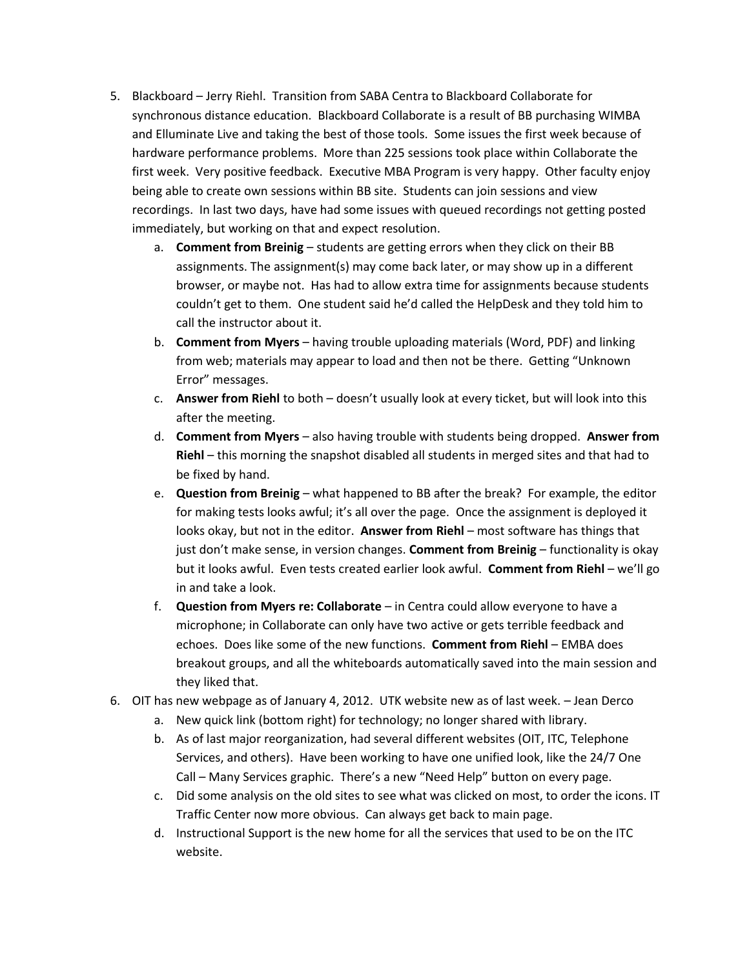- 5. Blackboard Jerry Riehl. Transition from SABA Centra to Blackboard Collaborate for synchronous distance education. Blackboard Collaborate is a result of BB purchasing WIMBA and Elluminate Live and taking the best of those tools. Some issues the first week because of hardware performance problems. More than 225 sessions took place within Collaborate the first week. Very positive feedback. Executive MBA Program is very happy. Other faculty enjoy being able to create own sessions within BB site. Students can join sessions and view recordings. In last two days, have had some issues with queued recordings not getting posted immediately, but working on that and expect resolution.
	- a. **Comment from Breinig** students are getting errors when they click on their BB assignments. The assignment(s) may come back later, or may show up in a different browser, or maybe not. Has had to allow extra time for assignments because students couldn't get to them. One student said he'd called the HelpDesk and they told him to call the instructor about it.
	- b. **Comment from Myers** having trouble uploading materials (Word, PDF) and linking from web; materials may appear to load and then not be there. Getting "Unknown Error" messages.
	- c. **Answer from Riehl** to both doesn't usually look at every ticket, but will look into this after the meeting.
	- d. **Comment from Myers** also having trouble with students being dropped. **Answer from Riehl** – this morning the snapshot disabled all students in merged sites and that had to be fixed by hand.
	- e. **Question from Breinig** what happened to BB after the break? For example, the editor for making tests looks awful; it's all over the page. Once the assignment is deployed it looks okay, but not in the editor. **Answer from Riehl** – most software has things that just don't make sense, in version changes. **Comment from Breinig** – functionality is okay but it looks awful. Even tests created earlier look awful. **Comment from Riehl** – we'll go in and take a look.
	- f. **Question from Myers re: Collaborate** in Centra could allow everyone to have a microphone; in Collaborate can only have two active or gets terrible feedback and echoes. Does like some of the new functions. **Comment from Riehl** – EMBA does breakout groups, and all the whiteboards automatically saved into the main session and they liked that.
- 6. OIT has new webpage as of January 4, 2012. UTK website new as of last week. Jean Derco
	- a. New quick link (bottom right) for technology; no longer shared with library.
	- b. As of last major reorganization, had several different websites (OIT, ITC, Telephone Services, and others). Have been working to have one unified look, like the 24/7 One Call – Many Services graphic. There's a new "Need Help" button on every page.
	- c. Did some analysis on the old sites to see what was clicked on most, to order the icons. IT Traffic Center now more obvious. Can always get back to main page.
	- d. Instructional Support is the new home for all the services that used to be on the ITC website.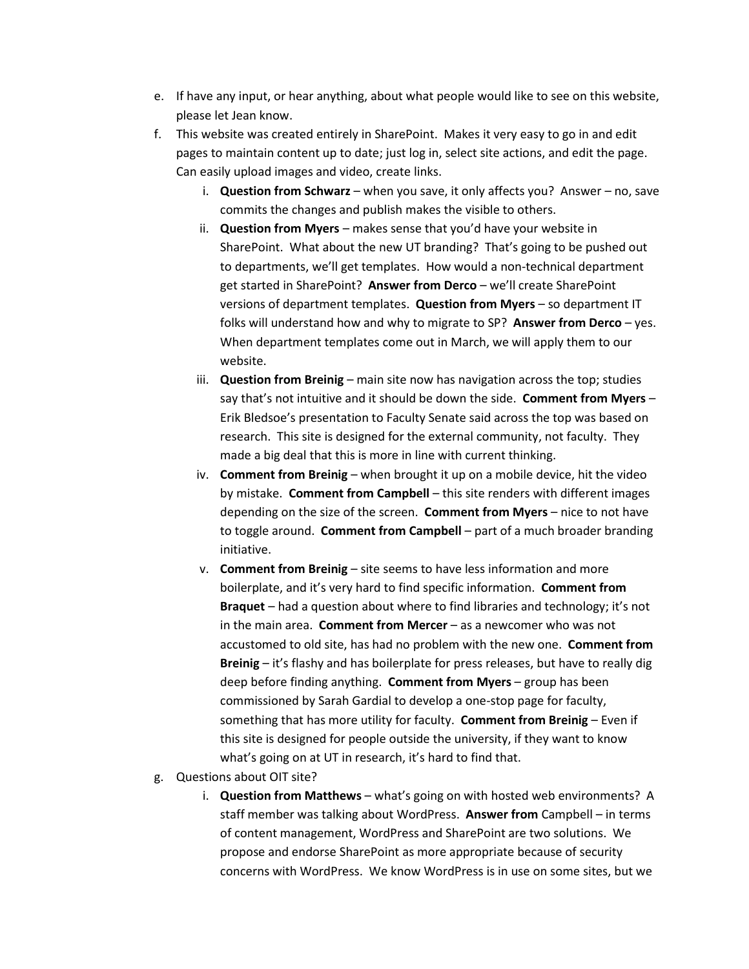- e. If have any input, or hear anything, about what people would like to see on this website, please let Jean know.
- f. This website was created entirely in SharePoint. Makes it very easy to go in and edit pages to maintain content up to date; just log in, select site actions, and edit the page. Can easily upload images and video, create links.
	- i. **Question from Schwarz** when you save, it only affects you? Answer no, save commits the changes and publish makes the visible to others.
	- ii. **Question from Myers** makes sense that you'd have your website in SharePoint. What about the new UT branding? That's going to be pushed out to departments, we'll get templates. How would a non-technical department get started in SharePoint? **Answer from Derco** – we'll create SharePoint versions of department templates. **Question from Myers** – so department IT folks will understand how and why to migrate to SP? **Answer from Derco** – yes. When department templates come out in March, we will apply them to our website.
	- iii. **Question from Breinig** main site now has navigation across the top; studies say that's not intuitive and it should be down the side. **Comment from Myers** – Erik Bledsoe's presentation to Faculty Senate said across the top was based on research. This site is designed for the external community, not faculty. They made a big deal that this is more in line with current thinking.
	- iv. **Comment from Breinig** when brought it up on a mobile device, hit the video by mistake. **Comment from Campbell** – this site renders with different images depending on the size of the screen. **Comment from Myers** – nice to not have to toggle around. **Comment from Campbell** – part of a much broader branding initiative.
	- v. **Comment from Breinig** site seems to have less information and more boilerplate, and it's very hard to find specific information. **Comment from Braquet** – had a question about where to find libraries and technology; it's not in the main area. **Comment from Mercer** – as a newcomer who was not accustomed to old site, has had no problem with the new one. **Comment from Breinig** – it's flashy and has boilerplate for press releases, but have to really dig deep before finding anything. **Comment from Myers** – group has been commissioned by Sarah Gardial to develop a one-stop page for faculty, something that has more utility for faculty. **Comment from Breinig** – Even if this site is designed for people outside the university, if they want to know what's going on at UT in research, it's hard to find that.
- g. Questions about OIT site?
	- i. **Question from Matthews** what's going on with hosted web environments? A staff member was talking about WordPress. **Answer from** Campbell – in terms of content management, WordPress and SharePoint are two solutions. We propose and endorse SharePoint as more appropriate because of security concerns with WordPress. We know WordPress is in use on some sites, but we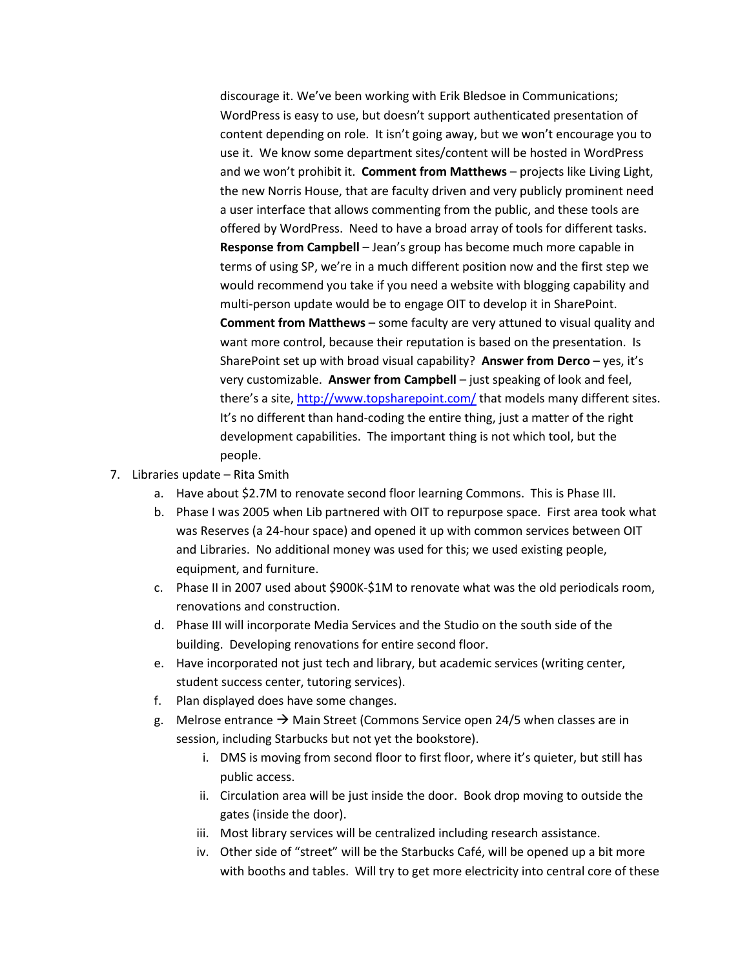discourage it. We've been working with Erik Bledsoe in Communications; WordPress is easy to use, but doesn't support authenticated presentation of content depending on role. It isn't going away, but we won't encourage you to use it. We know some department sites/content will be hosted in WordPress and we won't prohibit it. **Comment from Matthews** – projects like Living Light, the new Norris House, that are faculty driven and very publicly prominent need a user interface that allows commenting from the public, and these tools are offered by WordPress. Need to have a broad array of tools for different tasks. **Response from Campbell** – Jean's group has become much more capable in terms of using SP, we're in a much different position now and the first step we would recommend you take if you need a website with blogging capability and multi-person update would be to engage OIT to develop it in SharePoint. **Comment from Matthews** – some faculty are very attuned to visual quality and want more control, because their reputation is based on the presentation. Is SharePoint set up with broad visual capability? **Answer from Derco** – yes, it's very customizable. **Answer from Campbell** – just speaking of look and feel, there's a site, <http://www.topsharepoint.com/> that models many different sites. It's no different than hand-coding the entire thing, just a matter of the right development capabilities. The important thing is not which tool, but the people.

- 7. Libraries update Rita Smith
	- a. Have about \$2.7M to renovate second floor learning Commons. This is Phase III.
	- b. Phase I was 2005 when Lib partnered with OIT to repurpose space. First area took what was Reserves (a 24-hour space) and opened it up with common services between OIT and Libraries. No additional money was used for this; we used existing people, equipment, and furniture.
	- c. Phase II in 2007 used about \$900K-\$1M to renovate what was the old periodicals room, renovations and construction.
	- d. Phase III will incorporate Media Services and the Studio on the south side of the building. Developing renovations for entire second floor.
	- e. Have incorporated not just tech and library, but academic services (writing center, student success center, tutoring services).
	- f. Plan displayed does have some changes.
	- g. Melrose entrance  $\rightarrow$  Main Street (Commons Service open 24/5 when classes are in session, including Starbucks but not yet the bookstore).
		- i. DMS is moving from second floor to first floor, where it's quieter, but still has public access.
		- ii. Circulation area will be just inside the door. Book drop moving to outside the gates (inside the door).
		- iii. Most library services will be centralized including research assistance.
		- iv. Other side of "street" will be the Starbucks Café, will be opened up a bit more with booths and tables. Will try to get more electricity into central core of these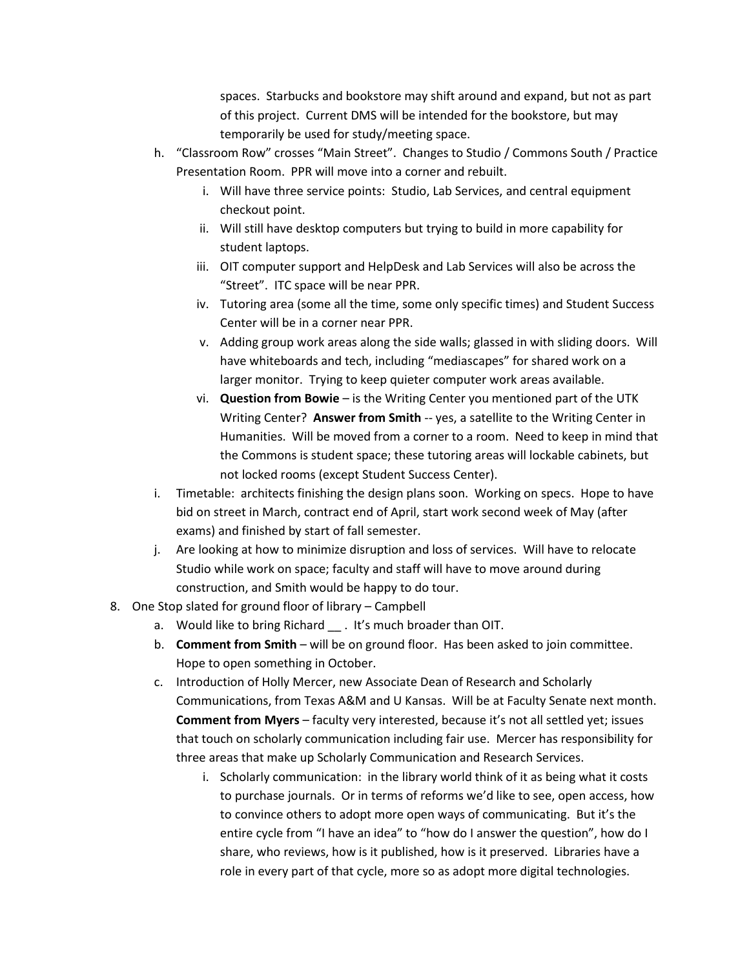spaces. Starbucks and bookstore may shift around and expand, but not as part of this project. Current DMS will be intended for the bookstore, but may temporarily be used for study/meeting space.

- h. "Classroom Row" crosses "Main Street". Changes to Studio / Commons South / Practice Presentation Room. PPR will move into a corner and rebuilt.
	- i. Will have three service points: Studio, Lab Services, and central equipment checkout point.
	- ii. Will still have desktop computers but trying to build in more capability for student laptops.
	- iii. OIT computer support and HelpDesk and Lab Services will also be across the "Street". ITC space will be near PPR.
	- iv. Tutoring area (some all the time, some only specific times) and Student Success Center will be in a corner near PPR.
	- v. Adding group work areas along the side walls; glassed in with sliding doors. Will have whiteboards and tech, including "mediascapes" for shared work on a larger monitor. Trying to keep quieter computer work areas available.
	- vi. **Question from Bowie** is the Writing Center you mentioned part of the UTK Writing Center? Answer from Smith -- yes, a satellite to the Writing Center in Humanities. Will be moved from a corner to a room. Need to keep in mind that the Commons is student space; these tutoring areas will lockable cabinets, but not locked rooms (except Student Success Center).
- i. Timetable: architects finishing the design plans soon. Working on specs. Hope to have bid on street in March, contract end of April, start work second week of May (after exams) and finished by start of fall semester.
- j. Are looking at how to minimize disruption and loss of services. Will have to relocate Studio while work on space; faculty and staff will have to move around during construction, and Smith would be happy to do tour.
- 8. One Stop slated for ground floor of library Campbell
	- a. Would like to bring Richard . It's much broader than OIT.
	- b. **Comment from Smith** will be on ground floor. Has been asked to join committee. Hope to open something in October.
	- c. Introduction of Holly Mercer, new Associate Dean of Research and Scholarly Communications, from Texas A&M and U Kansas. Will be at Faculty Senate next month. **Comment from Myers** – faculty very interested, because it's not all settled yet; issues that touch on scholarly communication including fair use. Mercer has responsibility for three areas that make up Scholarly Communication and Research Services.
		- i. Scholarly communication: in the library world think of it as being what it costs to purchase journals. Or in terms of reforms we'd like to see, open access, how to convince others to adopt more open ways of communicating. But it's the entire cycle from "I have an idea" to "how do I answer the question", how do I share, who reviews, how is it published, how is it preserved. Libraries have a role in every part of that cycle, more so as adopt more digital technologies.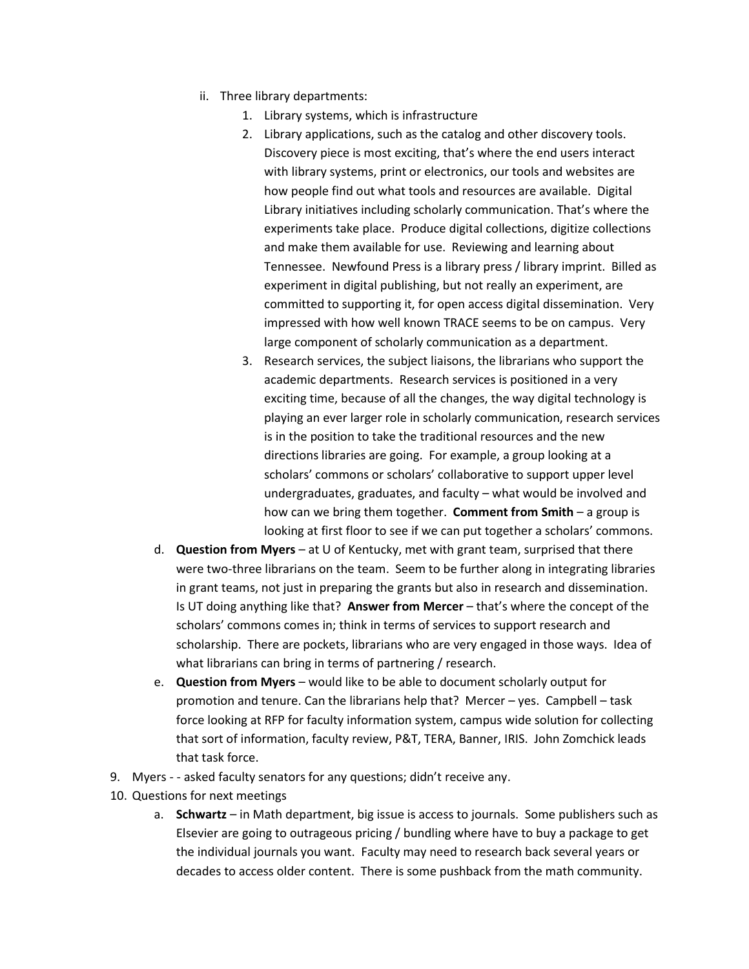- ii. Three library departments:
	- 1. Library systems, which is infrastructure
	- 2. Library applications, such as the catalog and other discovery tools. Discovery piece is most exciting, that's where the end users interact with library systems, print or electronics, our tools and websites are how people find out what tools and resources are available. Digital Library initiatives including scholarly communication. That's where the experiments take place. Produce digital collections, digitize collections and make them available for use. Reviewing and learning about Tennessee. Newfound Press is a library press / library imprint. Billed as experiment in digital publishing, but not really an experiment, are committed to supporting it, for open access digital dissemination. Very impressed with how well known TRACE seems to be on campus. Very large component of scholarly communication as a department.
	- 3. Research services, the subject liaisons, the librarians who support the academic departments. Research services is positioned in a very exciting time, because of all the changes, the way digital technology is playing an ever larger role in scholarly communication, research services is in the position to take the traditional resources and the new directions libraries are going. For example, a group looking at a scholars' commons or scholars' collaborative to support upper level undergraduates, graduates, and faculty – what would be involved and how can we bring them together. **Comment from Smith** – a group is looking at first floor to see if we can put together a scholars' commons.
- d. **Question from Myers** at U of Kentucky, met with grant team, surprised that there were two-three librarians on the team. Seem to be further along in integrating libraries in grant teams, not just in preparing the grants but also in research and dissemination. Is UT doing anything like that? **Answer from Mercer** – that's where the concept of the scholars' commons comes in; think in terms of services to support research and scholarship. There are pockets, librarians who are very engaged in those ways. Idea of what librarians can bring in terms of partnering / research.
- e. **Question from Myers** would like to be able to document scholarly output for promotion and tenure. Can the librarians help that? Mercer – yes. Campbell – task force looking at RFP for faculty information system, campus wide solution for collecting that sort of information, faculty review, P&T, TERA, Banner, IRIS. John Zomchick leads that task force.
- 9. Myers - asked faculty senators for any questions; didn't receive any.
- 10. Questions for next meetings
	- a. **Schwartz** in Math department, big issue is access to journals. Some publishers such as Elsevier are going to outrageous pricing / bundling where have to buy a package to get the individual journals you want. Faculty may need to research back several years or decades to access older content. There is some pushback from the math community.